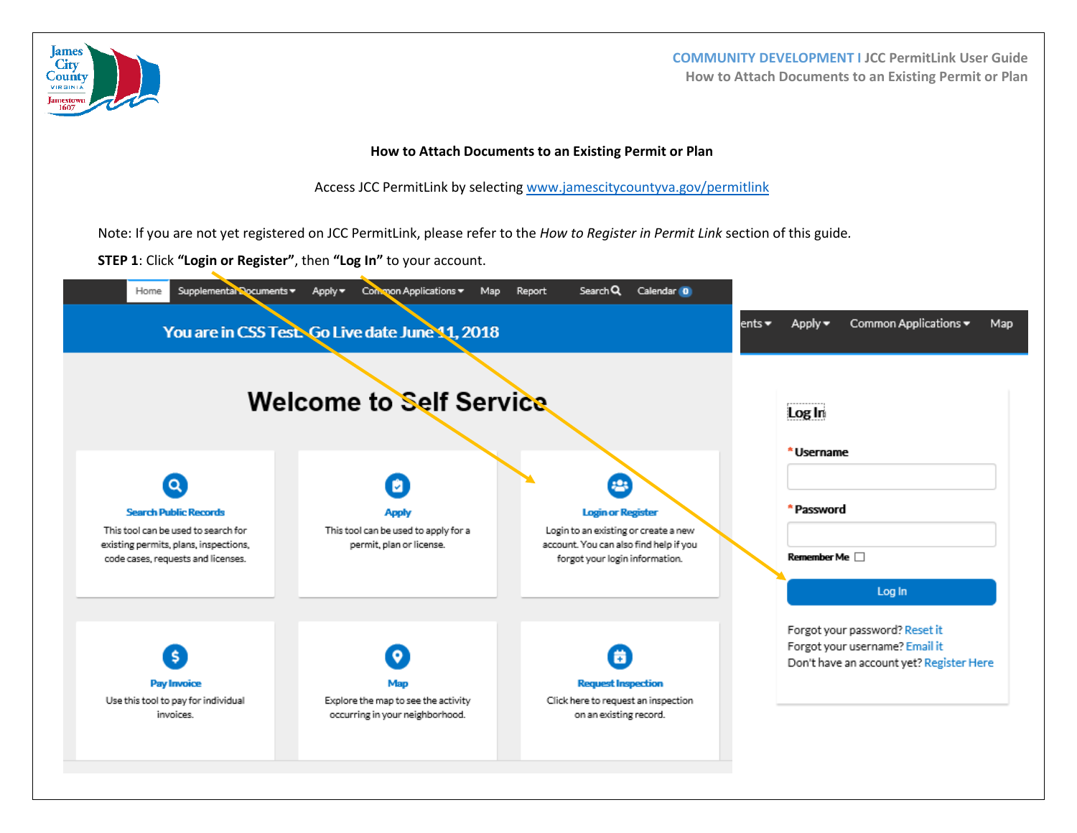

**COMMUNITY DEVELOPMENT I JCC PermitLink User Guide How to Attach Documents to an Existing Permit or Plan**

## **How to Attach Documents to an Existing Permit or Plan**

Access JCC PermitLink by selecting [www.jamescitycountyva.gov/permitlink](http://www.jamescitycountyva.gov/permitlink)

Note: If you are not yet registered on JCC PermitLink, please refer to the *How to Register in Permit Link* section of this guide*.* 

**STEP 1**: Click **"Login or Register"**, then **"Log In"** to your account.

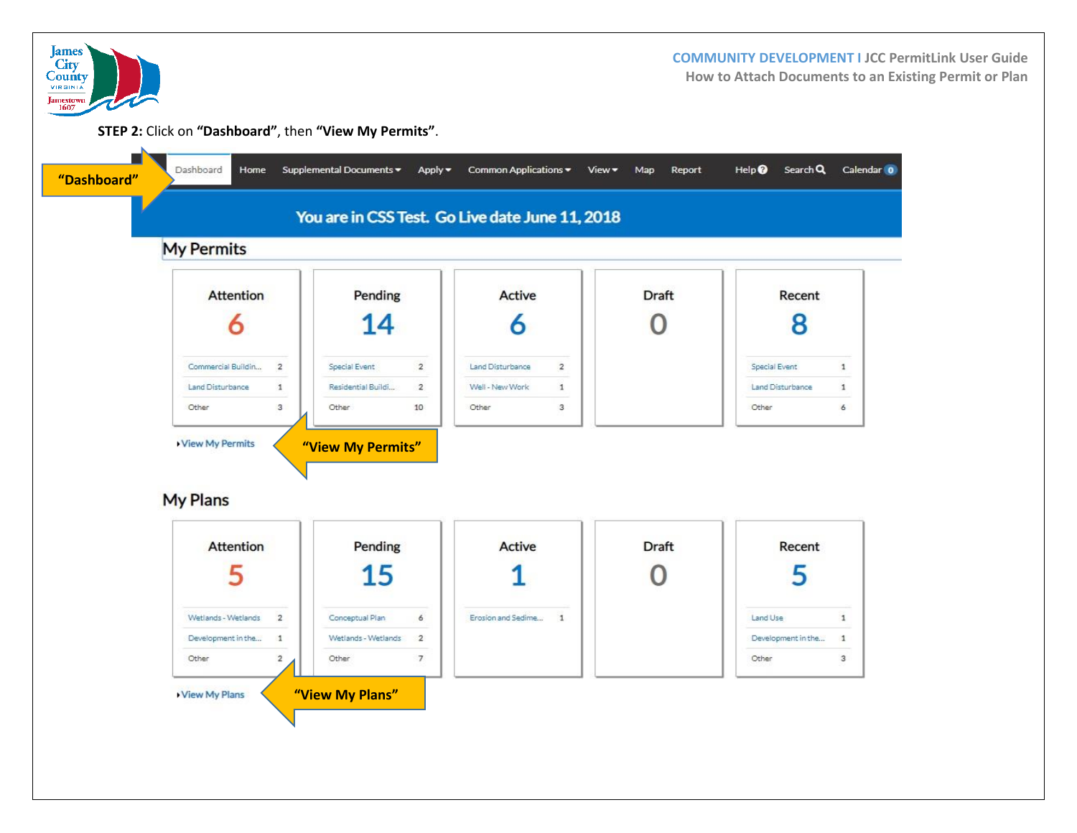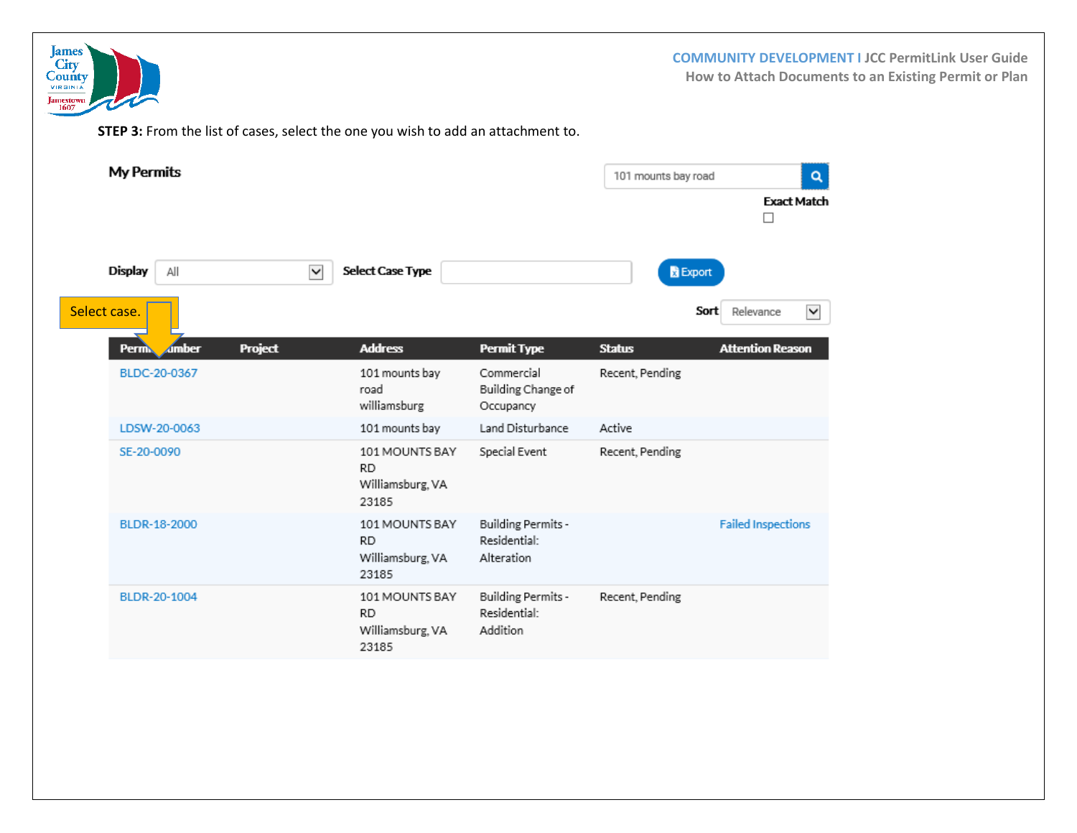

**COMMUNITY DEVELOPMENT I JCC PermitLink User Guide How to Attach Documents to an Existing Permit or Plan**

**STEP 3:** From the list of cases, select the one you wish to add an attachment to.

|              | <b>My Permits</b>                              | 101 mounts bay road<br>Q                                 |                                                  |                 |                           |
|--------------|------------------------------------------------|----------------------------------------------------------|--------------------------------------------------|-----------------|---------------------------|
|              |                                                |                                                          |                                                  |                 | <b>Exact Match</b><br>П   |
|              | <b>Display</b><br>All                          | Select Case Type<br>$\blacktriangledown$                 |                                                  | <b>B</b> Export |                           |
| Select case. |                                                |                                                          |                                                  | Sort            | Relevance<br>$\checkmark$ |
|              | <b>Project</b><br><b>Amber</b><br><b>Permi</b> | <b>Address</b>                                           | <b>Permit Type</b>                               | <b>Status</b>   | <b>Attention Reason</b>   |
|              | BLDC-20-0367                                   | 101 mounts bay<br>road<br>williamsburg                   | Commercial<br>Building Change of<br>Occupancy    | Recent, Pending |                           |
|              | LDSW-20-0063                                   | 101 mounts bay                                           | Land Disturbance                                 | Active          |                           |
|              | SE-20-0090                                     | 101 MOUNTS BAY<br><b>RD</b><br>Williamsburg, VA<br>23185 | Special Event                                    | Recent, Pending |                           |
|              | BLDR-18-2000                                   | 101 MOUNTS BAY<br><b>RD</b><br>Williamsburg, VA<br>23185 | Building Permits -<br>Residential:<br>Alteration |                 | <b>Failed Inspections</b> |
|              | BLDR-20-1004                                   | 101 MOUNTS BAY<br><b>RD</b><br>Williamsburg, VA<br>23185 | Building Permits -<br>Residential:<br>Addition   | Recent, Pending |                           |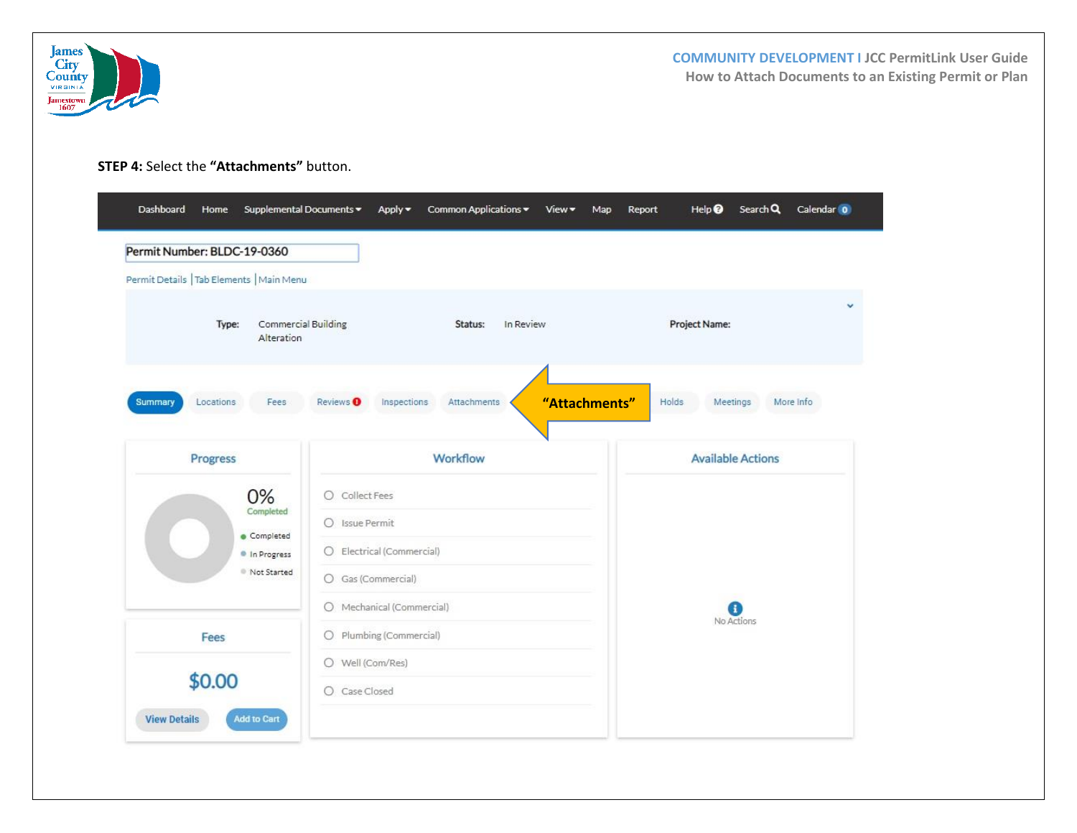

**COMMUNITY DEVELOPMENT I JCC PermitLink User Guide How to Attach Documents to an Existing Permit or Plan**

## **STEP 4:** Select the **"Attachments"** button.

Dashboard Home Supplemental Documents > Apply > Common Applications > View > Map Report Help 8 Search Q Calendar 0 Permit Number: BLDC-19-0360 Permit Details | Tab Elements | Main Menu  $\ddot{\phantom{0}}$ Type: Commercial Building Status: In Review Project Name: Alteration Fees Inspections Attachments Holds Meetings More Info **Summary** Locations Reviews <sup>O</sup> **"Attachments"**Workflow **Available Actions** Progress 0% O Collect Fees Completed O Issue Permit Completed O Electrical (Commercial) In Progress Not Started O Gas (Commercial) O Mechanical (Commercial) a No Actions Fees O Plumbing (Commercial) O Well (Com/Res) \$0.00 O Case Closed **View Details Add to Cart**